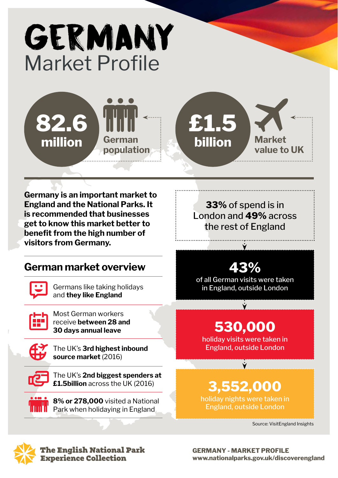# GERMANY Market Profile





**Market value to UK**

**Germany is an important market to England and the National Parks. It is recommended that businesses get to know this market better to benefit from the high number of visitors from Germany.**

### **German market overview**

Germans like taking holidays and **they like England**

Most German workers receive **between 28 and 30 days annual leave**



The UK's **3rd highest inbound source market** (2016)



The UK's **2nd biggest spenders at £1.5billion** across the UK (2016)

**8% or 278,000** visited a National Park when holidaying in England

**33%** of spend is in London and **49%** across the rest of England

### **43%**

of all German visits were taken in England, outside London

## **530,000**

holiday visits were taken in England, outside London

### **3,552,000**

holiday nights were taken in England, outside London

Source: VisitEngland Insights



The English National Park **Experience Collection**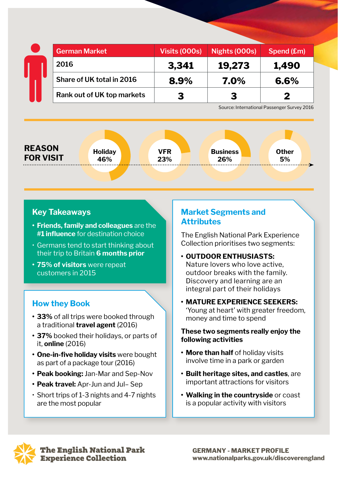|  | German Market              | <b>Visits (000s)</b> | Nights (000s) | Spend (£m) |
|--|----------------------------|----------------------|---------------|------------|
|  | 2016                       | 3,341                | 19,273        | 1,490      |
|  | Share of UK total in 2016  | 8.9%                 | 7.0%          | 6.6%       |
|  | Rank out of UK top markets | З                    | 3             |            |

Source: International Passenger Survey 2016

**Other 5%**

#### **REASON FOR VISIT Holiday**

**46%**

**VFR 23%**

#### **Key Takeaways**

- **• Friends, family and colleagues** are the **#1 influence** for destination choice
- Germans tend to start thinking about their trip to Britain **6 months prior**
- **• 75% of visitors** were repeat customers in 2015

### **How they Book**

- **• 33%** of all trips were booked through a traditional **travel agent** (2016)
- **• 37%** booked their holidays, or parts of it, **online** (2016)
- **• One-in-five holiday visits** were bought as part of a package tour (2016)
- **• Peak booking:** Jan-Mar and Sep-Nov
- **• Peak travel:** Apr-Jun and Jul– Sep
- Short trips of 1-3 nights and 4-7 nights are the most popular

#### **Market Segments and Attributes**

**Business 26%**

The English National Park Experience Collection prioritises two segments:

- **• OUTDOOR ENTHUSIASTS:** Nature lovers who love active, outdoor breaks with the family. Discovery and learning are an integral part of their holidays
- **• MATURE EXPERIENCE SEEKERS:** 'Young at heart' with greater freedom, money and time to spend

#### **These two segments really enjoy the following activities**

- **• More than half** of holiday visits involve time in a park or garden
- **• Built heritage sites, and castles**, are important attractions for visitors
- **• Walking in the countryside** or coast is a popular activity with visitors



The English National Park **Experience Collection**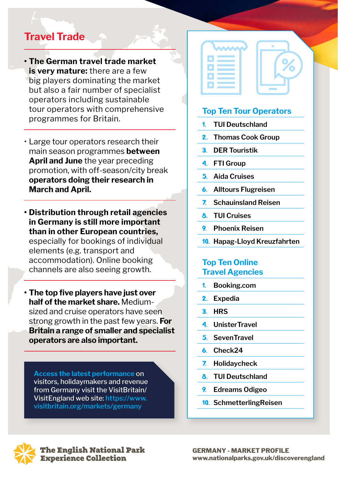### **Travel Trade**

- **• The German travel trade market is very mature:** there are a few big players dominating the market but also a fair number of specialist operators including sustainable tour operators with comprehensive programmes for Britain.
- Large tour operators research their main season programmes **between April and June** the year preceding promotion, with off-season/city break **operators doing their research in March and April.**
- **• Distribution through retail agencies in Germany is still more important than in other European countries,** especially for bookings of individual elements (e.g. transport and accommodation). Online booking channels are also seeing growth.
- **• The top five players have just over half of the market share.** Mediumsized and cruise operators have seen strong growth in the past few years. **For Britain a range of smaller and specialist operators are also important.**

**Access the latest performance** on visitors, holidaymakers and revenue from Germany visit the VisitBritain/ VisitEngland web site: **https://www. visitbritain.org/markets/germany**

| <b>Contract Contract Contract Contract Contract Contract Contract Contract Contract Contract Contract Contract Co</b> |
|-----------------------------------------------------------------------------------------------------------------------|
|                                                                                                                       |
| <b>STATE</b>                                                                                                          |
|                                                                                                                       |
|                                                                                                                       |



- 1. **TUI Deutschland**
- 2. **Thomas Cook Group**
- 3. **DER Touristik**
- 4. **FTI Group**
- 5. **Aida Cruises**
- 6. **Alltours Flugreisen**
- 7. **Schauinsland Reisen**
- 8. **TUI Cruises**
- 9. **Phoenix Reisen**
- 10. **Hapag-Lloyd Kreuzfahrten**

### **Top Ten Online Travel Agencies**

- 1. **Booking.com**
- 2. **Expedia**
- 3. **HRS**
- 4. **UnisterTravel**
- 5. **SevenTravel**
- 6. **Check24**
- 7. **Holidaycheck**
- 8. **TUI Deutschland**
- 9. **Edreams Odigeo**
- 10. **SchmetterlingReisen**



he English National Park **Experience Collection**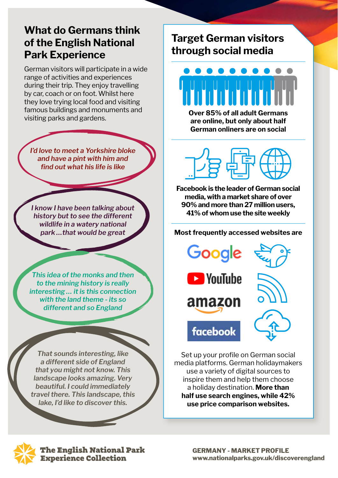### **What do Germans think of the English National Park Experience**

German visitors will participate in a wide range of activities and experiences during their trip. They enjoy travelling by car, coach or on foot. Whilst here they love trying local food and visiting famous buildings and monuments and visiting parks and gardens.

*I'd love to meet a Yorkshire bloke and have a pint with him and find out what his life is like*

*I know I have been talking about history but to see the different wildlife in a watery national park …that would be great*

*This idea of the monks and then to the mining history is really interesting … it is this connection with the land theme - its so different and so England*

*That sounds interesting, like a different side of England that you might not know. This landscape looks amazing. Very beautiful. I could immediately travel there. This landscape, this lake, I'd like to discover this.*

### **Target German visitors through social media**

**Over 85% of all adult Germans are online, but only about half German onliners are on social**

**Facebook is the leader of German social media, with a market share of over 90% and more than 27 million users, 41% of whom use the site weekly**

#### **Most frequently accessed websites are**

Google **E** YouTube amazon facebook

Set up your profile on German social media platforms. German holidaymakers use a variety of digital sources to inspire them and help them choose a holiday destination. **More than half use search engines, while 42% use price comparison websites.**



The English National Park **Experience Collection**